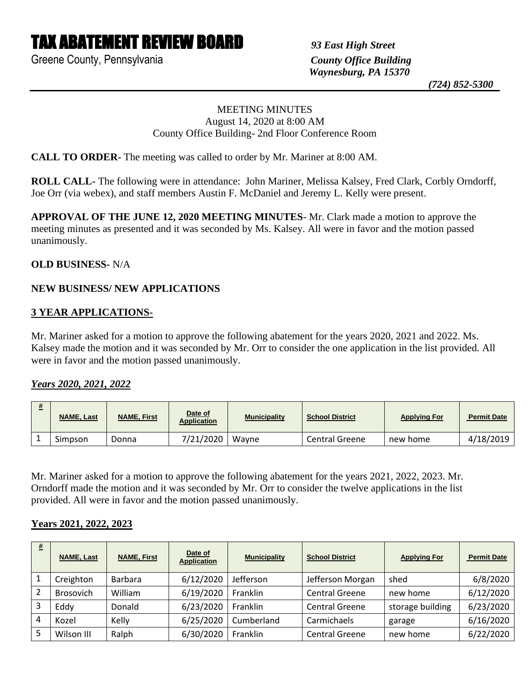# TAX ABATEMENT REVIEW BOARD *93 East High Street*

Greene County, Pennsylvania *County Office Building*

 *Waynesburg, PA 15370*

 *(724) 852-5300*

### MEETING MINUTES August 14, 2020 at 8:00 AM County Office Building- 2nd Floor Conference Room

**CALL TO ORDER-** The meeting was called to order by Mr. Mariner at 8:00 AM.

**ROLL CALL-** The following were in attendance: John Mariner, Melissa Kalsey, Fred Clark, Corbly Orndorff, Joe Orr (via webex), and staff members Austin F. McDaniel and Jeremy L. Kelly were present.

**APPROVAL OF THE JUNE 12, 2020 MEETING MINUTES**- Mr. Clark made a motion to approve the meeting minutes as presented and it was seconded by Ms. Kalsey. All were in favor and the motion passed unanimously.

### **OLD BUSINESS-** N/A

## **NEW BUSINESS/ NEW APPLICATIONS**

#### **3 YEAR APPLICATIONS-**

Mr. Mariner asked for a motion to approve the following abatement for the years 2020, 2021 and 2022. Ms. Kalsey made the motion and it was seconded by Mr. Orr to consider the one application in the list provided. All were in favor and the motion passed unanimously.

### *Years 2020, 2021, 2022*

| <b>NAME, Last</b> | <b>NAME, First</b> | Date of<br><b>Application</b> | <b>Municipality</b> | <b>School District</b> | <b>Applying For</b> | <b>Permit Date</b> |
|-------------------|--------------------|-------------------------------|---------------------|------------------------|---------------------|--------------------|
| Simpson           | Donna              | 7/21/2020                     | Wavne               | <b>Central Greene</b>  | new home            | 4/18/2019          |

Mr. Mariner asked for a motion to approve the following abatement for the years 2021, 2022, 2023. Mr. Orndorff made the motion and it was seconded by Mr. Orr to consider the twelve applications in the list provided. All were in favor and the motion passed unanimously.

#### **Years 2021, 2022, 2023**

| # | <b>NAME, Last</b> | <b>NAME, First</b> | Date of<br><b>Application</b> | <b>Municipality</b> | <b>School District</b> | <b>Applying For</b> | <b>Permit Date</b> |
|---|-------------------|--------------------|-------------------------------|---------------------|------------------------|---------------------|--------------------|
|   | Creighton         | <b>Barbara</b>     | 6/12/2020                     | Jefferson           | Jefferson Morgan       | shed                | 6/8/2020           |
|   | Brosovich         | William            | 6/19/2020                     | Franklin            | <b>Central Greene</b>  | new home            | 6/12/2020          |
|   | Eddy              | Donald             | 6/23/2020                     | Franklin            | <b>Central Greene</b>  | storage building    | 6/23/2020          |
| 4 | Kozel             | Kelly              | 6/25/2020                     | Cumberland          | Carmichaels            | garage              | 6/16/2020          |
|   | Wilson III        | Ralph              | 6/30/2020                     | Franklin            | <b>Central Greene</b>  | new home            | 6/22/2020          |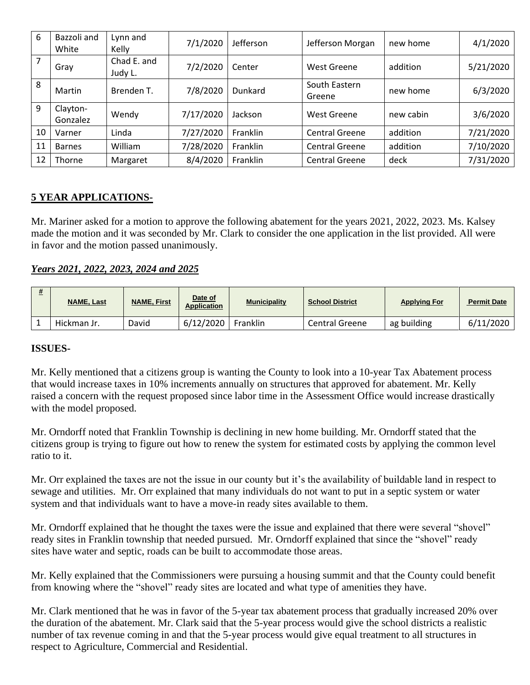| 6  | Bazzoli and<br>White | Lynn and<br>Kelly      | 7/1/2020  | Jefferson | Jefferson Morgan        | new home  | 4/1/2020  |
|----|----------------------|------------------------|-----------|-----------|-------------------------|-----------|-----------|
| 7  | Gray                 | Chad E. and<br>Judy L. | 7/2/2020  | Center    | West Greene             | addition  | 5/21/2020 |
| 8  | Martin               | Brenden T.             | 7/8/2020  | Dunkard   | South Eastern<br>Greene | new home  | 6/3/2020  |
| 9  | Clayton-<br>Gonzalez | Wendy                  | 7/17/2020 | Jackson   | <b>West Greene</b>      | new cabin | 3/6/2020  |
| 10 | Varner               | Linda                  | 7/27/2020 | Franklin  | <b>Central Greene</b>   | addition  | 7/21/2020 |
| 11 | <b>Barnes</b>        | William                | 7/28/2020 | Franklin  | <b>Central Greene</b>   | addition  | 7/10/2020 |
| 12 | Thorne               | Margaret               | 8/4/2020  | Franklin  | <b>Central Greene</b>   | deck      | 7/31/2020 |

## **5 YEAR APPLICATIONS-**

Mr. Mariner asked for a motion to approve the following abatement for the years 2021, 2022, 2023. Ms. Kalsey made the motion and it was seconded by Mr. Clark to consider the one application in the list provided. All were in favor and the motion passed unanimously.

## *Years 2021, 2022, 2023, 2024 and 2025*

| <b>NAME, Last</b> | <b>NAME, First</b> | Date of<br><b>Application</b> | <b>Municipality</b> | <b>School District</b> | <b>Applying For</b> | <b>Permit Date</b> |
|-------------------|--------------------|-------------------------------|---------------------|------------------------|---------------------|--------------------|
| Hickman Jr.       | David              | 6/12/2020                     | Franklin            | <b>Central Greene</b>  | ag building         | 6/11/2020          |

### **ISSUES-**

Mr. Kelly mentioned that a citizens group is wanting the County to look into a 10-year Tax Abatement process that would increase taxes in 10% increments annually on structures that approved for abatement. Mr. Kelly raised a concern with the request proposed since labor time in the Assessment Office would increase drastically with the model proposed.

Mr. Orndorff noted that Franklin Township is declining in new home building. Mr. Orndorff stated that the citizens group is trying to figure out how to renew the system for estimated costs by applying the common level ratio to it.

Mr. Orr explained the taxes are not the issue in our county but it's the availability of buildable land in respect to sewage and utilities. Mr. Orr explained that many individuals do not want to put in a septic system or water system and that individuals want to have a move-in ready sites available to them.

Mr. Orndorff explained that he thought the taxes were the issue and explained that there were several "shovel" ready sites in Franklin township that needed pursued. Mr. Orndorff explained that since the "shovel" ready sites have water and septic, roads can be built to accommodate those areas.

Mr. Kelly explained that the Commissioners were pursuing a housing summit and that the County could benefit from knowing where the "shovel" ready sites are located and what type of amenities they have.

Mr. Clark mentioned that he was in favor of the 5-year tax abatement process that gradually increased 20% over the duration of the abatement. Mr. Clark said that the 5-year process would give the school districts a realistic number of tax revenue coming in and that the 5-year process would give equal treatment to all structures in respect to Agriculture, Commercial and Residential.